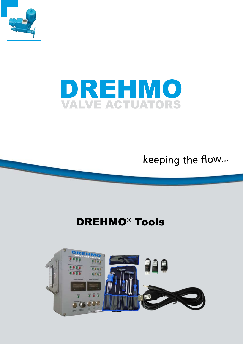



keepin<sup>g</sup> <sup>t</sup>h<sup>e</sup> flow...

# DREHMO® Tools

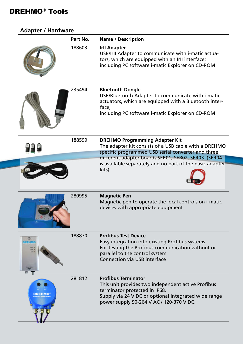## DREHMO® Tools

| <b>Adapter / Hardware</b> |          |                                                                                                                                                                                                                       |
|---------------------------|----------|-----------------------------------------------------------------------------------------------------------------------------------------------------------------------------------------------------------------------|
|                           | Part No. | <b>Name / Description</b>                                                                                                                                                                                             |
|                           | 188603   | <b>Irll Adapter</b><br>USB/Irll Adapter to communicate with i-matic actua-<br>tors, which are equipped with an Irll interface;<br>including PC software i-matic Explorer on CD-ROM                                    |
|                           | 235494   | <b>Bluetooth Dongle</b><br>USB/Bluetooth Adapter to communicate with i-matic<br>actuators, which are equipped with a Bluetooth inter-<br>face;<br>including PC software i-matic Explorer on CD-ROM                    |
|                           | 188599   | <b>DREHMO Programming Adapter Kit</b><br>The adapter kit consists of a USB cable with a DREHMO<br>specific programmed USB serial converter and three                                                                  |
|                           |          | different adapter boards SER01, SER02, SER03. (SER04                                                                                                                                                                  |
|                           |          | is available separately and no part of the basic adapter<br>kits)                                                                                                                                                     |
|                           | 280995   | <b>Magnetic Pen</b><br>Magnetic pen to operate the local controls on i-matic<br>devices with appropriate equipment                                                                                                    |
|                           | 188870   | <b>Profibus Test Device</b><br>Easy integration into existing Profibus systems<br>For testing the Profibus communication without or<br>parallel to the control system<br><b>Connection via USB interface</b>          |
|                           | 281812   | <b>Profibus Terminator</b><br>This unit provides two independent active Profibus<br>terminator protected in IP68.<br>Supply via 24 V DC or optional integrated wide range<br>power supply 90-264 V AC / 120-370 V DC. |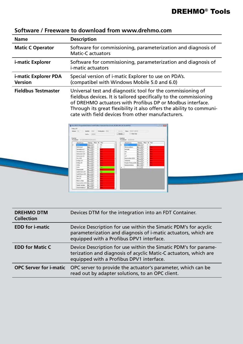| <b>Name</b>                            | <b>Description</b>                                                                                                                                                                                                                                                                                                          |  |
|----------------------------------------|-----------------------------------------------------------------------------------------------------------------------------------------------------------------------------------------------------------------------------------------------------------------------------------------------------------------------------|--|
| <b>Matic C Operator</b>                | Software for commissioning, parameterization and diagnosis of<br><b>Matic-C</b> actuators                                                                                                                                                                                                                                   |  |
| <i>i-matic Explorer</i>                | Software for commissioning, parameterization and diagnosis of<br><i>i-matic actuators</i>                                                                                                                                                                                                                                   |  |
| i-matic Explorer PDA<br><b>Version</b> | Special version of <i>i</i> -matic Explorer to use on PDA's.<br>(compatibel with Windows Mobile 5.0 and 6.0)                                                                                                                                                                                                                |  |
| <b>Fieldbus Testmaster</b>             | Universal test and diagnostic tool for the commissioning of<br>fieldbus devices. It is tailored specifically to the commissioning<br>of DREHMO actuators with Profibus DP or Modbus interface.<br>Through its great flexibility it also offers the ability to communi-<br>cate with field devices from other manufacturers. |  |

### **Software / Freeware to download from www.drehmo.com**



| <b>DREHMO DTM</b><br><b>Collection</b> | Devices DTM for the integration into an FDT Container.                                                                                                                          |  |
|----------------------------------------|---------------------------------------------------------------------------------------------------------------------------------------------------------------------------------|--|
| <b>EDD for i-matic</b>                 | Device Description for use within the Simatic PDM's for acyclic<br>parameterization and diagnosis of i-matic actuators, which are<br>equipped with a Profibus DPV1 interface.   |  |
| <b>EDD for Matic C</b>                 | Device Description for use within the Simatic PDM's for parame-<br>terization and diagnosis of acyclic Matic-C actuators, which are<br>equipped with a Profibus DPV1 interface. |  |
| <b>OPC Server for i-matic</b>          | OPC server to provide the actuator's parameter, which can be<br>read out by adapter solutions, to an OPC client.                                                                |  |